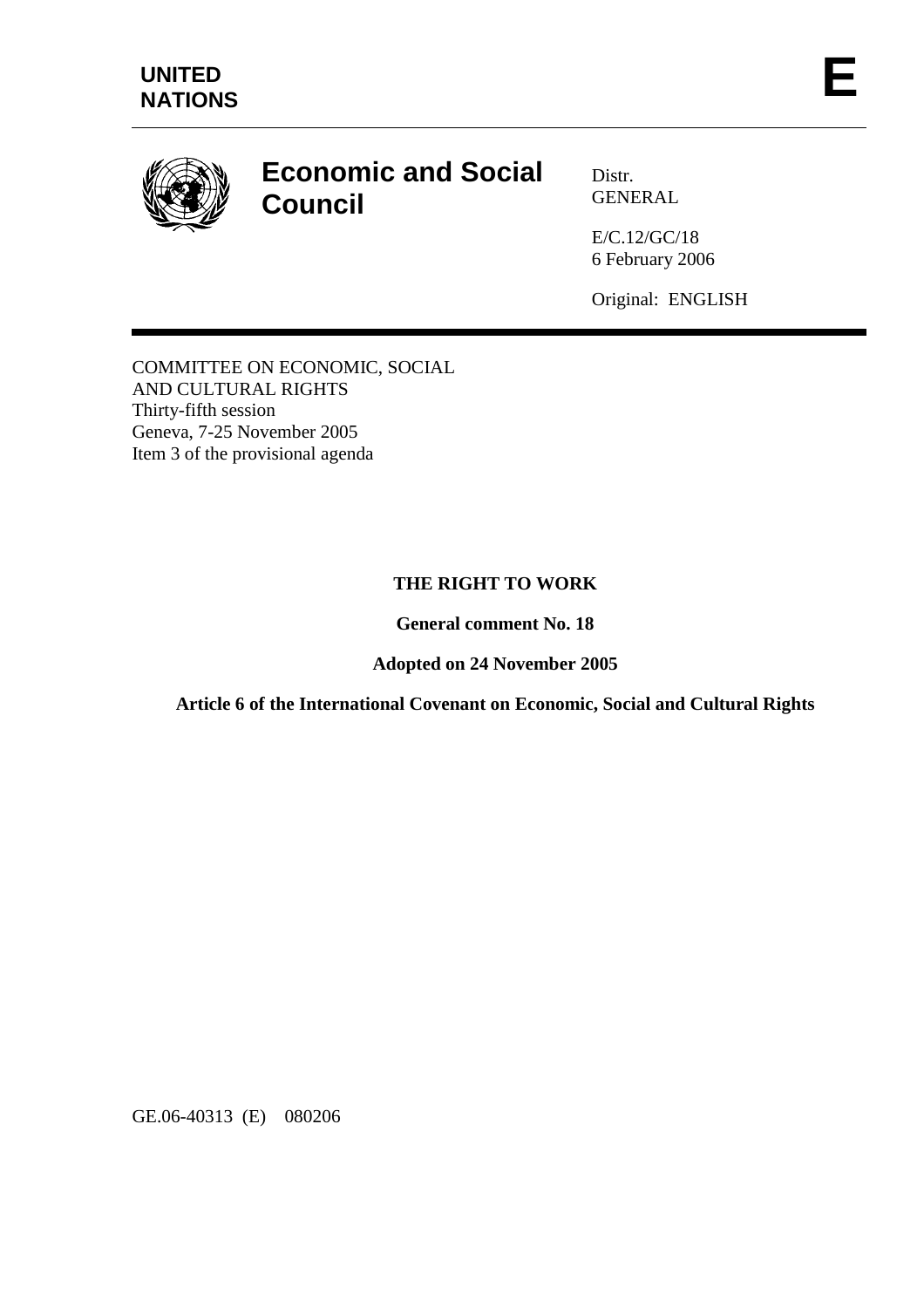

# **Economic and Social Council**

Distr. **GENERAL** 

E/C.12/GC/18 6 February 2006

Original: ENGLISH

COMMITTEE ON ECONOMIC, SOCIAL AND CULTURAL RIGHTS Thirty-fifth session Geneva, 7-25 November 2005 Item 3 of the provisional agenda

## **THE RIGHT TO WORK**

**General comment No. 18** 

**Adopted on 24 November 2005** 

**Article 6 of the International Covenant on Economic, Social and Cultural Rights** 

GE.06-40313 (E) 080206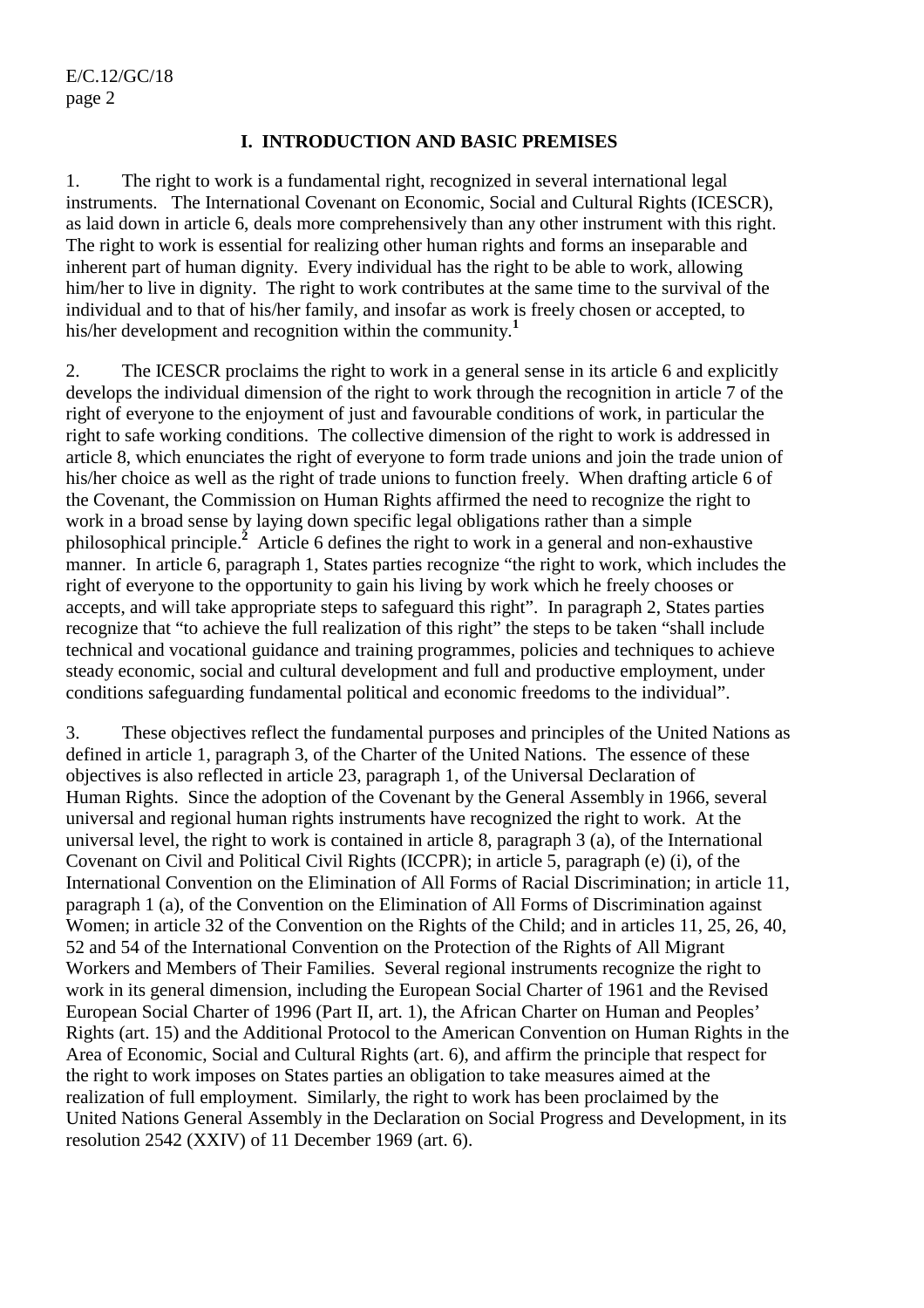#### **I. INTRODUCTION AND BASIC PREMISES**

1. The right to work is a fundamental right, recognized in several international legal instruments. The International Covenant on Economic, Social and Cultural Rights (ICESCR), as laid down in article 6, deals more comprehensively than any other instrument with this right. The right to work is essential for realizing other human rights and forms an inseparable and inherent part of human dignity. Every individual has the right to be able to work, allowing him/her to live in dignity. The right to work contributes at the same time to the survival of the individual and to that of his/her family, and insofar as work is freely chosen or accepted, to his/her development and recognition within the community.<sup>1</sup>

2. The ICESCR proclaims the right to work in a general sense in its article 6 and explicitly develops the individual dimension of the right to work through the recognition in article 7 of the right of everyone to the enjoyment of just and favourable conditions of work, in particular the right to safe working conditions. The collective dimension of the right to work is addressed in article 8, which enunciates the right of everyone to form trade unions and join the trade union of his/her choice as well as the right of trade unions to function freely. When drafting article 6 of the Covenant, the Commission on Human Rights affirmed the need to recognize the right to work in a broad sense by laying down specific legal obligations rather than a simple philosophical principle.**<sup>2</sup>** Article 6 defines the right to work in a general and non-exhaustive manner. In article 6, paragraph 1, States parties recognize "the right to work, which includes the right of everyone to the opportunity to gain his living by work which he freely chooses or accepts, and will take appropriate steps to safeguard this right". In paragraph 2, States parties recognize that "to achieve the full realization of this right" the steps to be taken "shall include technical and vocational guidance and training programmes, policies and techniques to achieve steady economic, social and cultural development and full and productive employment, under conditions safeguarding fundamental political and economic freedoms to the individual".

3. These objectives reflect the fundamental purposes and principles of the United Nations as defined in article 1, paragraph 3, of the Charter of the United Nations. The essence of these objectives is also reflected in article 23, paragraph 1, of the Universal Declaration of Human Rights. Since the adoption of the Covenant by the General Assembly in 1966, several universal and regional human rights instruments have recognized the right to work. At the universal level, the right to work is contained in article 8, paragraph 3 (a), of the International Covenant on Civil and Political Civil Rights (ICCPR); in article 5, paragraph (e) (i), of the International Convention on the Elimination of All Forms of Racial Discrimination; in article 11, paragraph 1 (a), of the Convention on the Elimination of All Forms of Discrimination against Women; in article 32 of the Convention on the Rights of the Child; and in articles 11, 25, 26, 40, 52 and 54 of the International Convention on the Protection of the Rights of All Migrant Workers and Members of Their Families. Several regional instruments recognize the right to work in its general dimension, including the European Social Charter of 1961 and the Revised European Social Charter of 1996 (Part II, art. 1), the African Charter on Human and Peoples' Rights (art. 15) and the Additional Protocol to the American Convention on Human Rights in the Area of Economic, Social and Cultural Rights (art. 6), and affirm the principle that respect for the right to work imposes on States parties an obligation to take measures aimed at the realization of full employment. Similarly, the right to work has been proclaimed by the United Nations General Assembly in the Declaration on Social Progress and Development, in its resolution 2542 (XXIV) of 11 December 1969 (art. 6).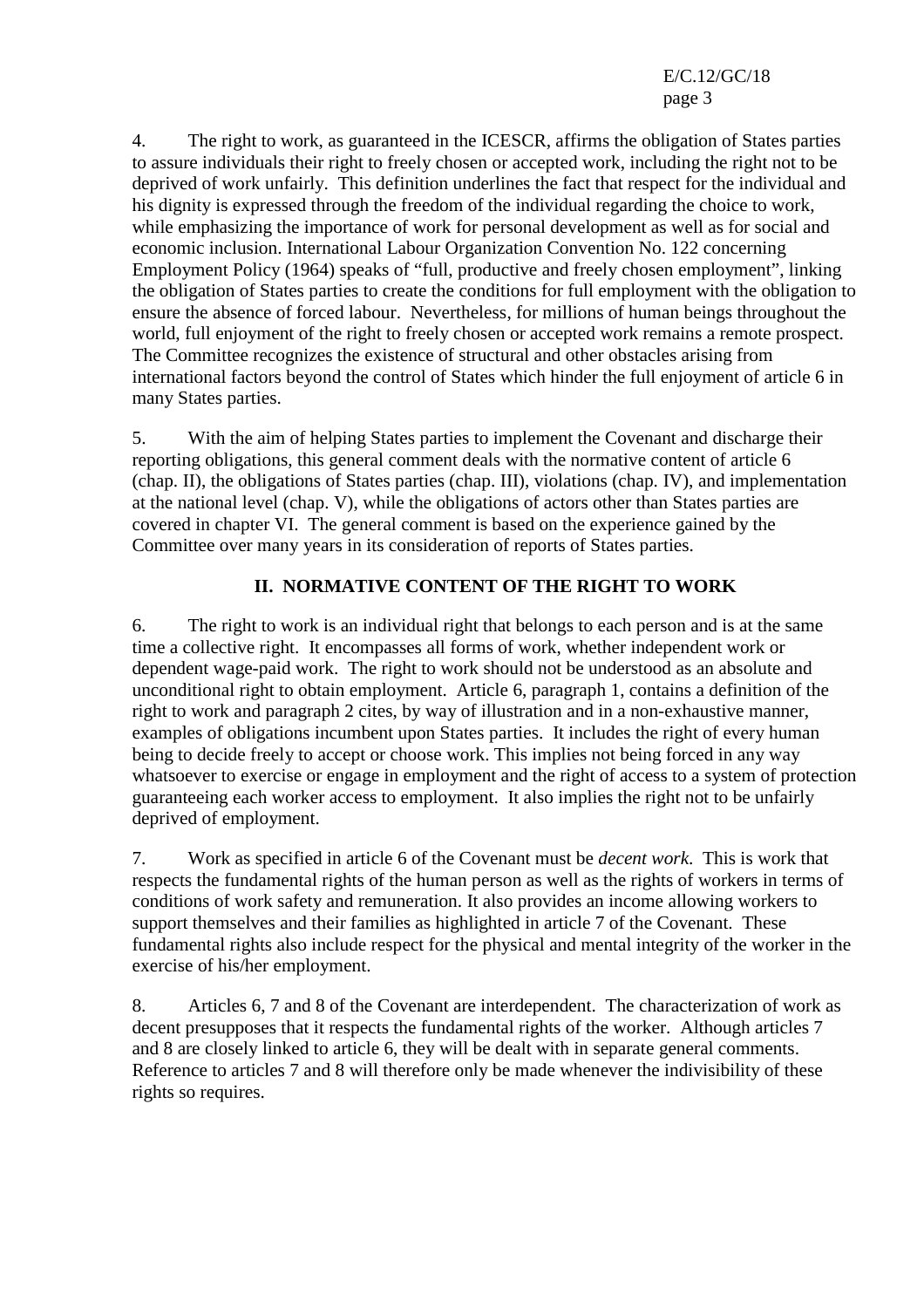E/C.12/GC/18 page 3

4. The right to work, as guaranteed in the ICESCR, affirms the obligation of States parties to assure individuals their right to freely chosen or accepted work, including the right not to be deprived of work unfairly. This definition underlines the fact that respect for the individual and his dignity is expressed through the freedom of the individual regarding the choice to work, while emphasizing the importance of work for personal development as well as for social and economic inclusion. International Labour Organization Convention No. 122 concerning Employment Policy (1964) speaks of "full, productive and freely chosen employment", linking the obligation of States parties to create the conditions for full employment with the obligation to ensure the absence of forced labour. Nevertheless, for millions of human beings throughout the world, full enjoyment of the right to freely chosen or accepted work remains a remote prospect. The Committee recognizes the existence of structural and other obstacles arising from international factors beyond the control of States which hinder the full enjoyment of article 6 in many States parties.

5. With the aim of helping States parties to implement the Covenant and discharge their reporting obligations, this general comment deals with the normative content of article 6 (chap. II), the obligations of States parties (chap. III), violations (chap. IV), and implementation at the national level (chap. V), while the obligations of actors other than States parties are covered in chapter VI. The general comment is based on the experience gained by the Committee over many years in its consideration of reports of States parties.

## **II. NORMATIVE CONTENT OF THE RIGHT TO WORK**

6. The right to work is an individual right that belongs to each person and is at the same time a collective right. It encompasses all forms of work, whether independent work or dependent wage-paid work. The right to work should not be understood as an absolute and unconditional right to obtain employment. Article 6, paragraph 1, contains a definition of the right to work and paragraph 2 cites, by way of illustration and in a non-exhaustive manner, examples of obligations incumbent upon States parties. It includes the right of every human being to decide freely to accept or choose work. This implies not being forced in any way whatsoever to exercise or engage in employment and the right of access to a system of protection guaranteeing each worker access to employment. It also implies the right not to be unfairly deprived of employment.

7. Work as specified in article 6 of the Covenant must be *decent work*. This is work that respects the fundamental rights of the human person as well as the rights of workers in terms of conditions of work safety and remuneration. It also provides an income allowing workers to support themselves and their families as highlighted in article 7 of the Covenant. These fundamental rights also include respect for the physical and mental integrity of the worker in the exercise of his/her employment.

8. Articles 6, 7 and 8 of the Covenant are interdependent. The characterization of work as decent presupposes that it respects the fundamental rights of the worker. Although articles 7 and 8 are closely linked to article 6, they will be dealt with in separate general comments. Reference to articles 7 and 8 will therefore only be made whenever the indivisibility of these rights so requires.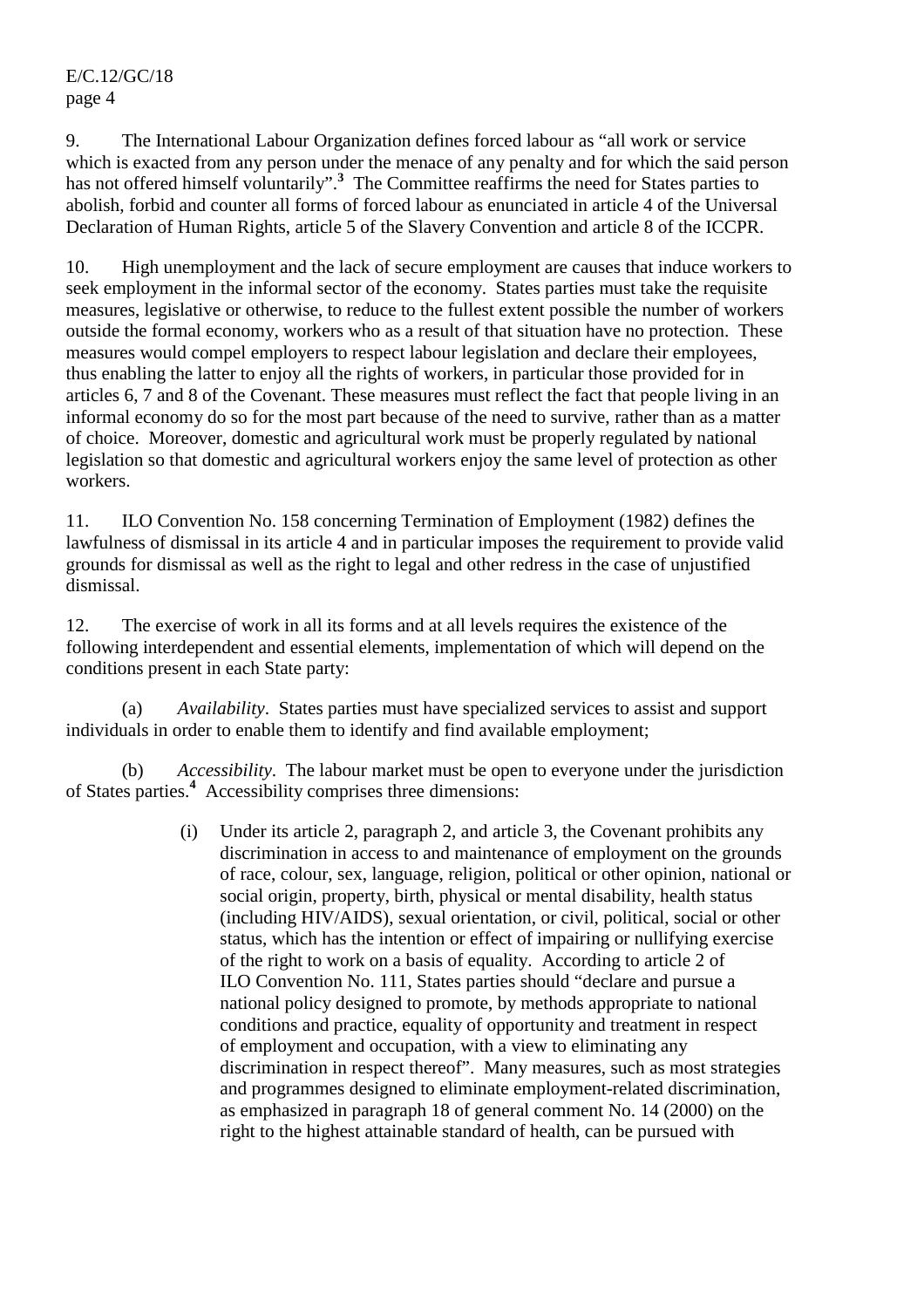E/C.12/GC/18 page 4

9. The International Labour Organization defines forced labour as "all work or service which is exacted from any person under the menace of any penalty and for which the said person has not offered himself voluntarily".**<sup>3</sup>** The Committee reaffirms the need for States parties to abolish, forbid and counter all forms of forced labour as enunciated in article 4 of the Universal Declaration of Human Rights, article 5 of the Slavery Convention and article 8 of the ICCPR.

10. High unemployment and the lack of secure employment are causes that induce workers to seek employment in the informal sector of the economy. States parties must take the requisite measures, legislative or otherwise, to reduce to the fullest extent possible the number of workers outside the formal economy, workers who as a result of that situation have no protection. These measures would compel employers to respect labour legislation and declare their employees, thus enabling the latter to enjoy all the rights of workers, in particular those provided for in articles 6, 7 and 8 of the Covenant. These measures must reflect the fact that people living in an informal economy do so for the most part because of the need to survive, rather than as a matter of choice. Moreover, domestic and agricultural work must be properly regulated by national legislation so that domestic and agricultural workers enjoy the same level of protection as other workers.

11. ILO Convention No. 158 concerning Termination of Employment (1982) defines the lawfulness of dismissal in its article 4 and in particular imposes the requirement to provide valid grounds for dismissal as well as the right to legal and other redress in the case of unjustified dismissal.

12. The exercise of work in all its forms and at all levels requires the existence of the following interdependent and essential elements, implementation of which will depend on the conditions present in each State party:

 (a) *Availability*. States parties must have specialized services to assist and support individuals in order to enable them to identify and find available employment;

 (b) *Accessibility*. The labour market must be open to everyone under the jurisdiction of States parties.**<sup>4</sup>** Accessibility comprises three dimensions:

> (i) Under its article 2, paragraph 2, and article 3, the Covenant prohibits any discrimination in access to and maintenance of employment on the grounds of race, colour, sex, language, religion, political or other opinion, national or social origin, property, birth, physical or mental disability, health status (including HIV/AIDS), sexual orientation, or civil, political, social or other status, which has the intention or effect of impairing or nullifying exercise of the right to work on a basis of equality. According to article 2 of ILO Convention No. 111, States parties should "declare and pursue a national policy designed to promote, by methods appropriate to national conditions and practice, equality of opportunity and treatment in respect of employment and occupation, with a view to eliminating any discrimination in respect thereof". Many measures, such as most strategies and programmes designed to eliminate employment-related discrimination, as emphasized in paragraph 18 of general comment No. 14 (2000) on the right to the highest attainable standard of health, can be pursued with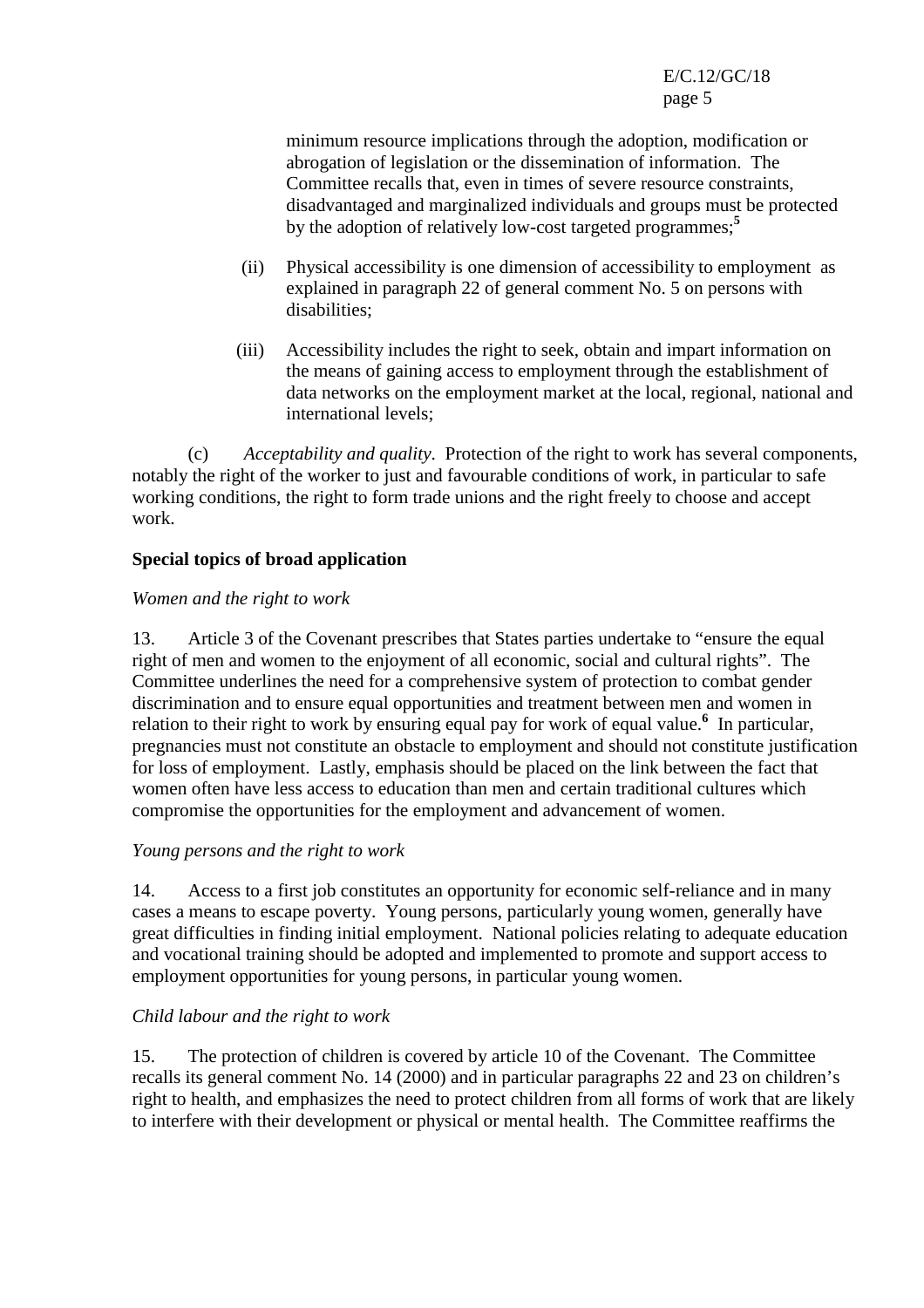minimum resource implications through the adoption, modification or abrogation of legislation or the dissemination of information. The Committee recalls that, even in times of severe resource constraints, disadvantaged and marginalized individuals and groups must be protected by the adoption of relatively low-cost targeted programmes;**<sup>5</sup>**

- (ii) Physical accessibility is one dimension of accessibility to employment as explained in paragraph 22 of general comment No. 5 on persons with disabilities;
- (iii) Accessibility includes the right to seek, obtain and impart information on the means of gaining access to employment through the establishment of data networks on the employment market at the local, regional, national and international levels;

 (c) *Acceptability and quality*. Protection of the right to work has several components, notably the right of the worker to just and favourable conditions of work, in particular to safe working conditions, the right to form trade unions and the right freely to choose and accept work.

## **Special topics of broad application**

## *Women and the right to work*

13. Article 3 of the Covenant prescribes that States parties undertake to "ensure the equal right of men and women to the enjoyment of all economic, social and cultural rights". The Committee underlines the need for a comprehensive system of protection to combat gender discrimination and to ensure equal opportunities and treatment between men and women in relation to their right to work by ensuring equal pay for work of equal value.<sup>6</sup> In particular, pregnancies must not constitute an obstacle to employment and should not constitute justification for loss of employment. Lastly, emphasis should be placed on the link between the fact that women often have less access to education than men and certain traditional cultures which compromise the opportunities for the employment and advancement of women.

## *Young persons and the right to work*

14. Access to a first job constitutes an opportunity for economic self-reliance and in many cases a means to escape poverty. Young persons, particularly young women, generally have great difficulties in finding initial employment. National policies relating to adequate education and vocational training should be adopted and implemented to promote and support access to employment opportunities for young persons, in particular young women.

## *Child labour and the right to work*

15. The protection of children is covered by article 10 of the Covenant. The Committee recalls its general comment No. 14 (2000) and in particular paragraphs 22 and 23 on children's right to health, and emphasizes the need to protect children from all forms of work that are likely to interfere with their development or physical or mental health. The Committee reaffirms the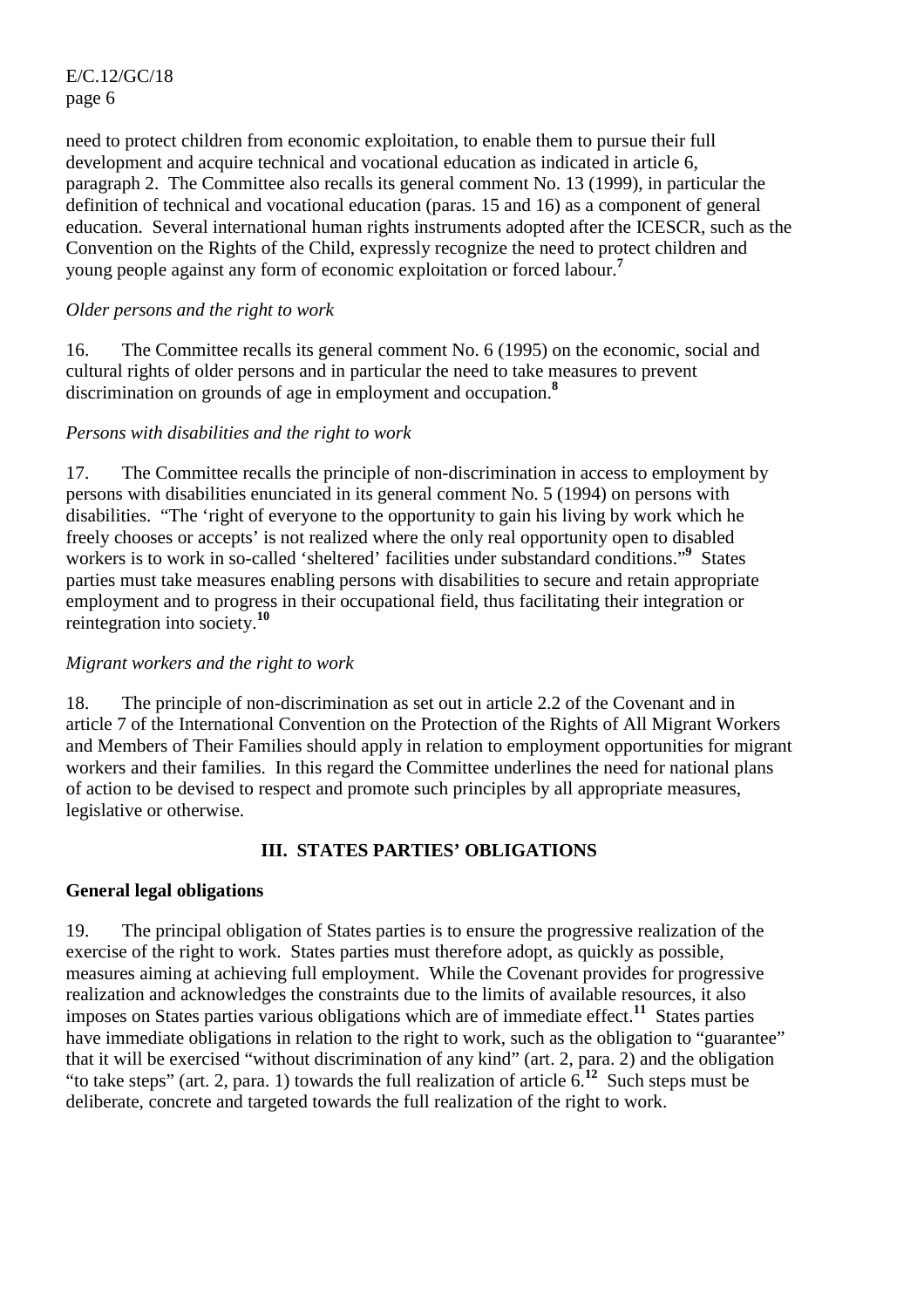need to protect children from economic exploitation, to enable them to pursue their full development and acquire technical and vocational education as indicated in article 6, paragraph 2. The Committee also recalls its general comment No. 13 (1999), in particular the definition of technical and vocational education (paras. 15 and 16) as a component of general education. Several international human rights instruments adopted after the ICESCR, such as the Convention on the Rights of the Child, expressly recognize the need to protect children and young people against any form of economic exploitation or forced labour.**<sup>7</sup>**

## *Older persons and the right to work*

16. The Committee recalls its general comment No. 6 (1995) on the economic, social and cultural rights of older persons and in particular the need to take measures to prevent discrimination on grounds of age in employment and occupation.**<sup>8</sup>**

## *Persons with disabilities and the right to work*

17. The Committee recalls the principle of non-discrimination in access to employment by persons with disabilities enunciated in its general comment No. 5 (1994) on persons with disabilities. "The 'right of everyone to the opportunity to gain his living by work which he freely chooses or accepts' is not realized where the only real opportunity open to disabled workers is to work in so-called 'sheltered' facilities under substandard conditions."<sup>9</sup> States parties must take measures enabling persons with disabilities to secure and retain appropriate employment and to progress in their occupational field, thus facilitating their integration or reintegration into society.**<sup>10</sup>**

## *Migrant workers and the right to work*

18. The principle of non-discrimination as set out in article 2.2 of the Covenant and in article 7 of the International Convention on the Protection of the Rights of All Migrant Workers and Members of Their Families should apply in relation to employment opportunities for migrant workers and their families. In this regard the Committee underlines the need for national plans of action to be devised to respect and promote such principles by all appropriate measures, legislative or otherwise.

## **III. STATES PARTIES' OBLIGATIONS**

## **General legal obligations**

19. The principal obligation of States parties is to ensure the progressive realization of the exercise of the right to work. States parties must therefore adopt, as quickly as possible, measures aiming at achieving full employment. While the Covenant provides for progressive realization and acknowledges the constraints due to the limits of available resources, it also imposes on States parties various obligations which are of immediate effect.**<sup>11</sup>** States parties have immediate obligations in relation to the right to work, such as the obligation to "guarantee" that it will be exercised "without discrimination of any kind" (art. 2, para. 2) and the obligation "to take steps" (art. 2, para. 1) towards the full realization of article 6.**<sup>12</sup>** Such steps must be deliberate, concrete and targeted towards the full realization of the right to work.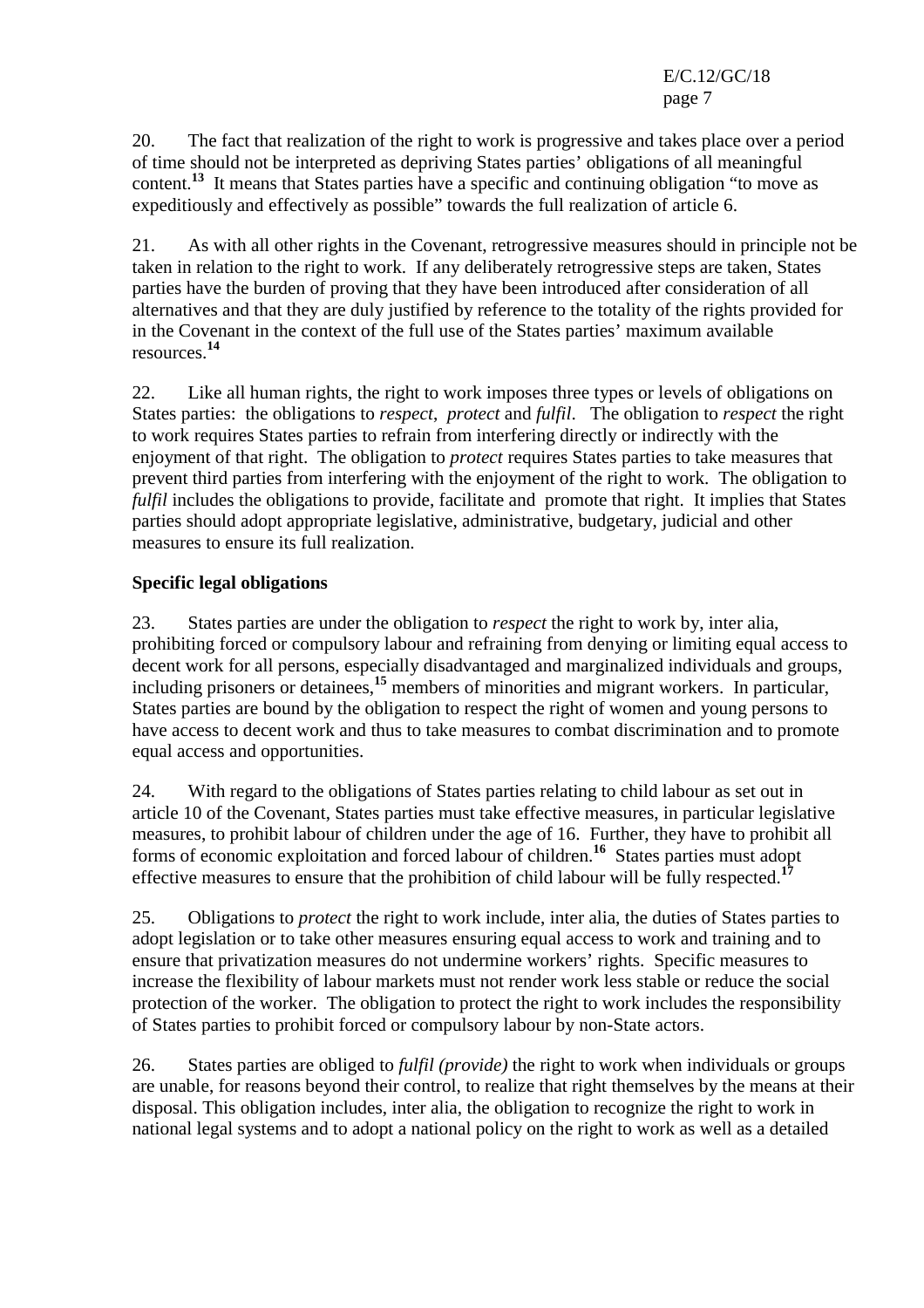20. The fact that realization of the right to work is progressive and takes place over a period of time should not be interpreted as depriving States parties' obligations of all meaningful content.**<sup>13</sup>** It means that States parties have a specific and continuing obligation "to move as expeditiously and effectively as possible" towards the full realization of article 6.

21. As with all other rights in the Covenant, retrogressive measures should in principle not be taken in relation to the right to work. If any deliberately retrogressive steps are taken, States parties have the burden of proving that they have been introduced after consideration of all alternatives and that they are duly justified by reference to the totality of the rights provided for in the Covenant in the context of the full use of the States parties' maximum available resources.**<sup>14</sup>**

22. Like all human rights, the right to work imposes three types or levels of obligations on States parties: the obligations to *respect*, *protect* and *fulfil*. The obligation to *respect* the right to work requires States parties to refrain from interfering directly or indirectly with the enjoyment of that right. The obligation to *protect* requires States parties to take measures that prevent third parties from interfering with the enjoyment of the right to work. The obligation to *fulfil* includes the obligations to provide, facilitate and promote that right. It implies that States parties should adopt appropriate legislative, administrative, budgetary, judicial and other measures to ensure its full realization.

## **Specific legal obligations**

23. States parties are under the obligation to *respect* the right to work by, inter alia, prohibiting forced or compulsory labour and refraining from denying or limiting equal access to decent work for all persons, especially disadvantaged and marginalized individuals and groups, including prisoners or detainees,**<sup>15</sup>** members of minorities and migrant workers. In particular, States parties are bound by the obligation to respect the right of women and young persons to have access to decent work and thus to take measures to combat discrimination and to promote equal access and opportunities.

24. With regard to the obligations of States parties relating to child labour as set out in article 10 of the Covenant, States parties must take effective measures, in particular legislative measures, to prohibit labour of children under the age of 16. Further, they have to prohibit all forms of economic exploitation and forced labour of children.**<sup>16</sup>** States parties must adopt effective measures to ensure that the prohibition of child labour will be fully respected.**<sup>17</sup>**

25. Obligations to *protect* the right to work include, inter alia, the duties of States parties to adopt legislation or to take other measures ensuring equal access to work and training and to ensure that privatization measures do not undermine workers' rights. Specific measures to increase the flexibility of labour markets must not render work less stable or reduce the social protection of the worker. The obligation to protect the right to work includes the responsibility of States parties to prohibit forced or compulsory labour by non-State actors.

26. States parties are obliged to *fulfil (provide)* the right to work when individuals or groups are unable, for reasons beyond their control, to realize that right themselves by the means at their disposal. This obligation includes, inter alia, the obligation to recognize the right to work in national legal systems and to adopt a national policy on the right to work as well as a detailed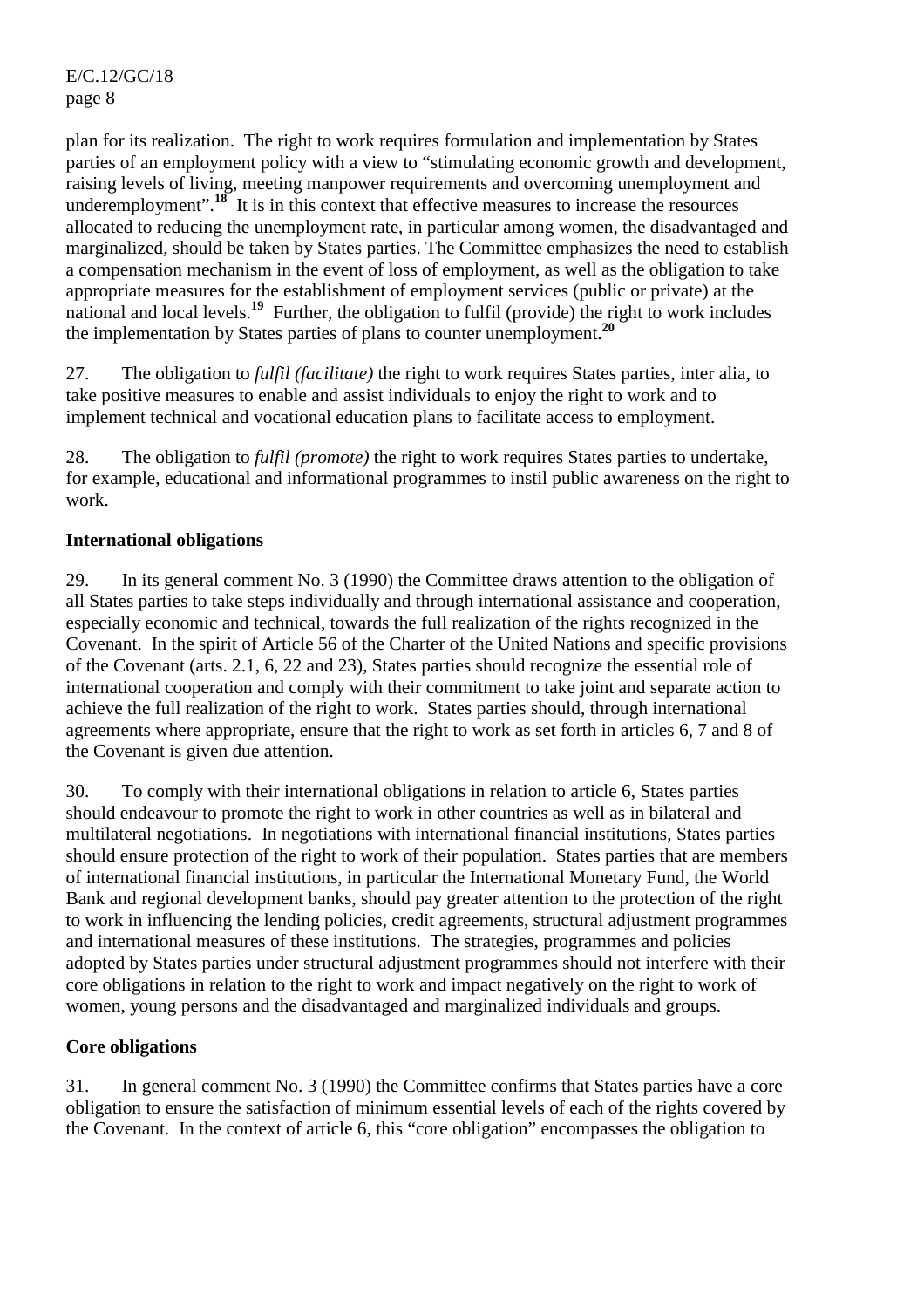plan for its realization. The right to work requires formulation and implementation by States parties of an employment policy with a view to "stimulating economic growth and development, raising levels of living, meeting manpower requirements and overcoming unemployment and underemployment".<sup>18</sup> It is in this context that effective measures to increase the resources allocated to reducing the unemployment rate, in particular among women, the disadvantaged and marginalized, should be taken by States parties. The Committee emphasizes the need to establish a compensation mechanism in the event of loss of employment, as well as the obligation to take appropriate measures for the establishment of employment services (public or private) at the national and local levels.**<sup>19</sup>** Further, the obligation to fulfil (provide) the right to work includes the implementation by States parties of plans to counter unemployment.**<sup>20</sup>**

27. The obligation to *fulfil (facilitate)* the right to work requires States parties, inter alia, to take positive measures to enable and assist individuals to enjoy the right to work and to implement technical and vocational education plans to facilitate access to employment.

28. The obligation to *fulfil (promote)* the right to work requires States parties to undertake, for example, educational and informational programmes to instil public awareness on the right to work.

## **International obligations**

29. In its general comment No. 3 (1990) the Committee draws attention to the obligation of all States parties to take steps individually and through international assistance and cooperation, especially economic and technical, towards the full realization of the rights recognized in the Covenant. In the spirit of Article 56 of the Charter of the United Nations and specific provisions of the Covenant (arts. 2.1, 6, 22 and 23), States parties should recognize the essential role of international cooperation and comply with their commitment to take joint and separate action to achieve the full realization of the right to work. States parties should, through international agreements where appropriate, ensure that the right to work as set forth in articles 6, 7 and 8 of the Covenant is given due attention.

30. To comply with their international obligations in relation to article 6, States parties should endeavour to promote the right to work in other countries as well as in bilateral and multilateral negotiations. In negotiations with international financial institutions, States parties should ensure protection of the right to work of their population. States parties that are members of international financial institutions, in particular the International Monetary Fund, the World Bank and regional development banks, should pay greater attention to the protection of the right to work in influencing the lending policies, credit agreements, structural adjustment programmes and international measures of these institutions. The strategies, programmes and policies adopted by States parties under structural adjustment programmes should not interfere with their core obligations in relation to the right to work and impact negatively on the right to work of women, young persons and the disadvantaged and marginalized individuals and groups.

## **Core obligations**

31. In general comment No. 3 (1990) the Committee confirms that States parties have a core obligation to ensure the satisfaction of minimum essential levels of each of the rights covered by the Covenant. In the context of article 6, this "core obligation" encompasses the obligation to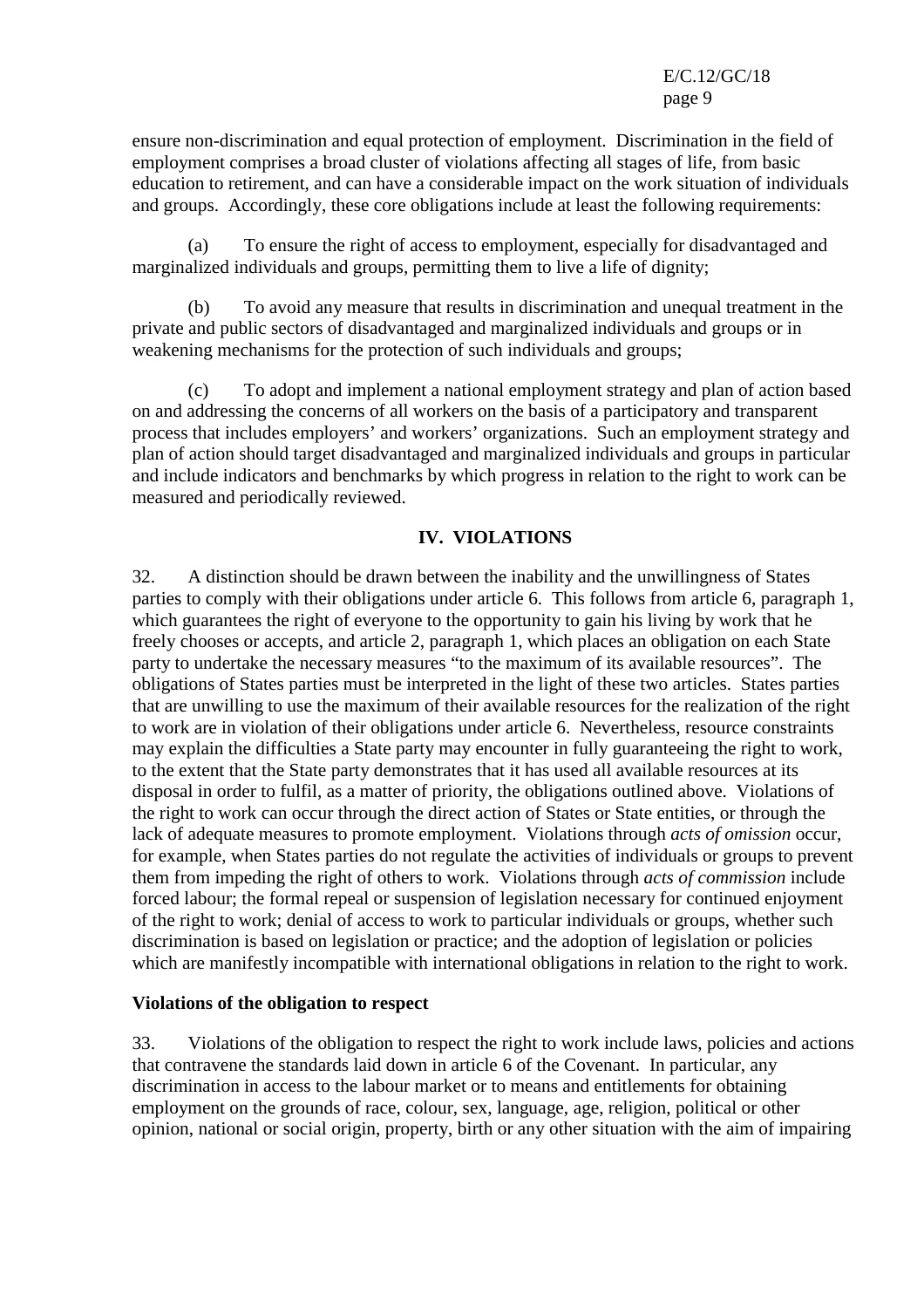ensure non-discrimination and equal protection of employment. Discrimination in the field of employment comprises a broad cluster of violations affecting all stages of life, from basic education to retirement, and can have a considerable impact on the work situation of individuals and groups. Accordingly, these core obligations include at least the following requirements:

 (a) To ensure the right of access to employment, especially for disadvantaged and marginalized individuals and groups, permitting them to live a life of dignity;

 (b) To avoid any measure that results in discrimination and unequal treatment in the private and public sectors of disadvantaged and marginalized individuals and groups or in weakening mechanisms for the protection of such individuals and groups;

 (c) To adopt and implement a national employment strategy and plan of action based on and addressing the concerns of all workers on the basis of a participatory and transparent process that includes employers' and workers' organizations. Such an employment strategy and plan of action should target disadvantaged and marginalized individuals and groups in particular and include indicators and benchmarks by which progress in relation to the right to work can be measured and periodically reviewed.

## **IV. VIOLATIONS**

32. A distinction should be drawn between the inability and the unwillingness of States parties to comply with their obligations under article 6. This follows from article 6, paragraph 1, which guarantees the right of everyone to the opportunity to gain his living by work that he freely chooses or accepts, and article 2, paragraph 1, which places an obligation on each State party to undertake the necessary measures "to the maximum of its available resources". The obligations of States parties must be interpreted in the light of these two articles. States parties that are unwilling to use the maximum of their available resources for the realization of the right to work are in violation of their obligations under article 6. Nevertheless, resource constraints may explain the difficulties a State party may encounter in fully guaranteeing the right to work, to the extent that the State party demonstrates that it has used all available resources at its disposal in order to fulfil, as a matter of priority, the obligations outlined above. Violations of the right to work can occur through the direct action of States or State entities, or through the lack of adequate measures to promote employment. Violations through *acts of omission* occur, for example, when States parties do not regulate the activities of individuals or groups to prevent them from impeding the right of others to work. Violations through *acts of commission* include forced labour; the formal repeal or suspension of legislation necessary for continued enjoyment of the right to work; denial of access to work to particular individuals or groups, whether such discrimination is based on legislation or practice; and the adoption of legislation or policies which are manifestly incompatible with international obligations in relation to the right to work.

## **Violations of the obligation to respect**

33. Violations of the obligation to respect the right to work include laws, policies and actions that contravene the standards laid down in article 6 of the Covenant. In particular, any discrimination in access to the labour market or to means and entitlements for obtaining employment on the grounds of race, colour, sex, language, age, religion, political or other opinion, national or social origin, property, birth or any other situation with the aim of impairing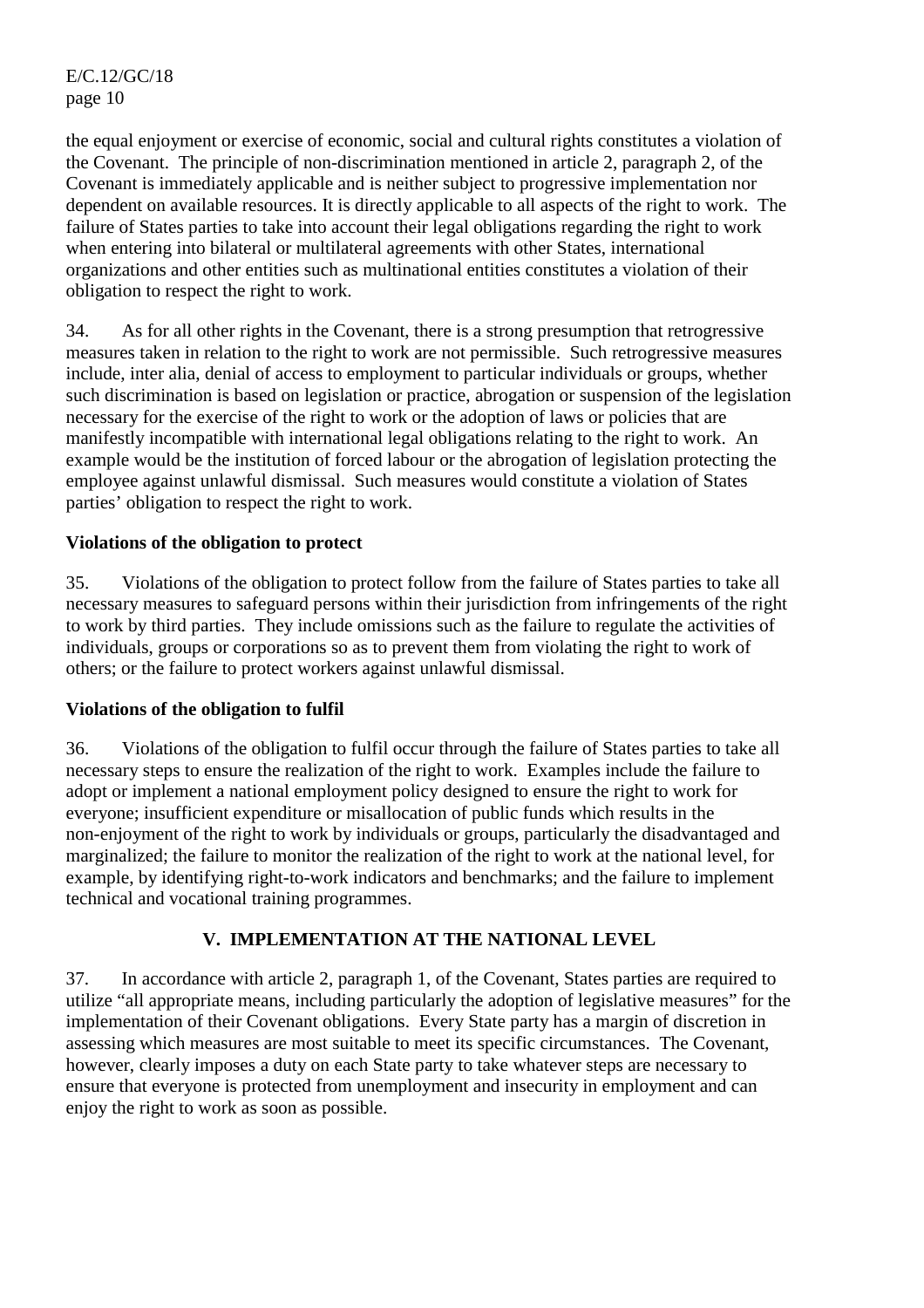the equal enjoyment or exercise of economic, social and cultural rights constitutes a violation of the Covenant. The principle of non-discrimination mentioned in article 2, paragraph 2, of the Covenant is immediately applicable and is neither subject to progressive implementation nor dependent on available resources. It is directly applicable to all aspects of the right to work. The failure of States parties to take into account their legal obligations regarding the right to work when entering into bilateral or multilateral agreements with other States, international organizations and other entities such as multinational entities constitutes a violation of their obligation to respect the right to work.

34. As for all other rights in the Covenant, there is a strong presumption that retrogressive measures taken in relation to the right to work are not permissible. Such retrogressive measures include, inter alia, denial of access to employment to particular individuals or groups, whether such discrimination is based on legislation or practice, abrogation or suspension of the legislation necessary for the exercise of the right to work or the adoption of laws or policies that are manifestly incompatible with international legal obligations relating to the right to work. An example would be the institution of forced labour or the abrogation of legislation protecting the employee against unlawful dismissal. Such measures would constitute a violation of States parties' obligation to respect the right to work.

## **Violations of the obligation to protect**

35. Violations of the obligation to protect follow from the failure of States parties to take all necessary measures to safeguard persons within their jurisdiction from infringements of the right to work by third parties. They include omissions such as the failure to regulate the activities of individuals, groups or corporations so as to prevent them from violating the right to work of others; or the failure to protect workers against unlawful dismissal.

## **Violations of the obligation to fulfil**

36. Violations of the obligation to fulfil occur through the failure of States parties to take all necessary steps to ensure the realization of the right to work. Examples include the failure to adopt or implement a national employment policy designed to ensure the right to work for everyone; insufficient expenditure or misallocation of public funds which results in the non-enjoyment of the right to work by individuals or groups, particularly the disadvantaged and marginalized; the failure to monitor the realization of the right to work at the national level, for example, by identifying right-to-work indicators and benchmarks; and the failure to implement technical and vocational training programmes.

## **V. IMPLEMENTATION AT THE NATIONAL LEVEL**

37. In accordance with article 2, paragraph 1, of the Covenant, States parties are required to utilize "all appropriate means, including particularly the adoption of legislative measures" for the implementation of their Covenant obligations. Every State party has a margin of discretion in assessing which measures are most suitable to meet its specific circumstances. The Covenant, however, clearly imposes a duty on each State party to take whatever steps are necessary to ensure that everyone is protected from unemployment and insecurity in employment and can enjoy the right to work as soon as possible.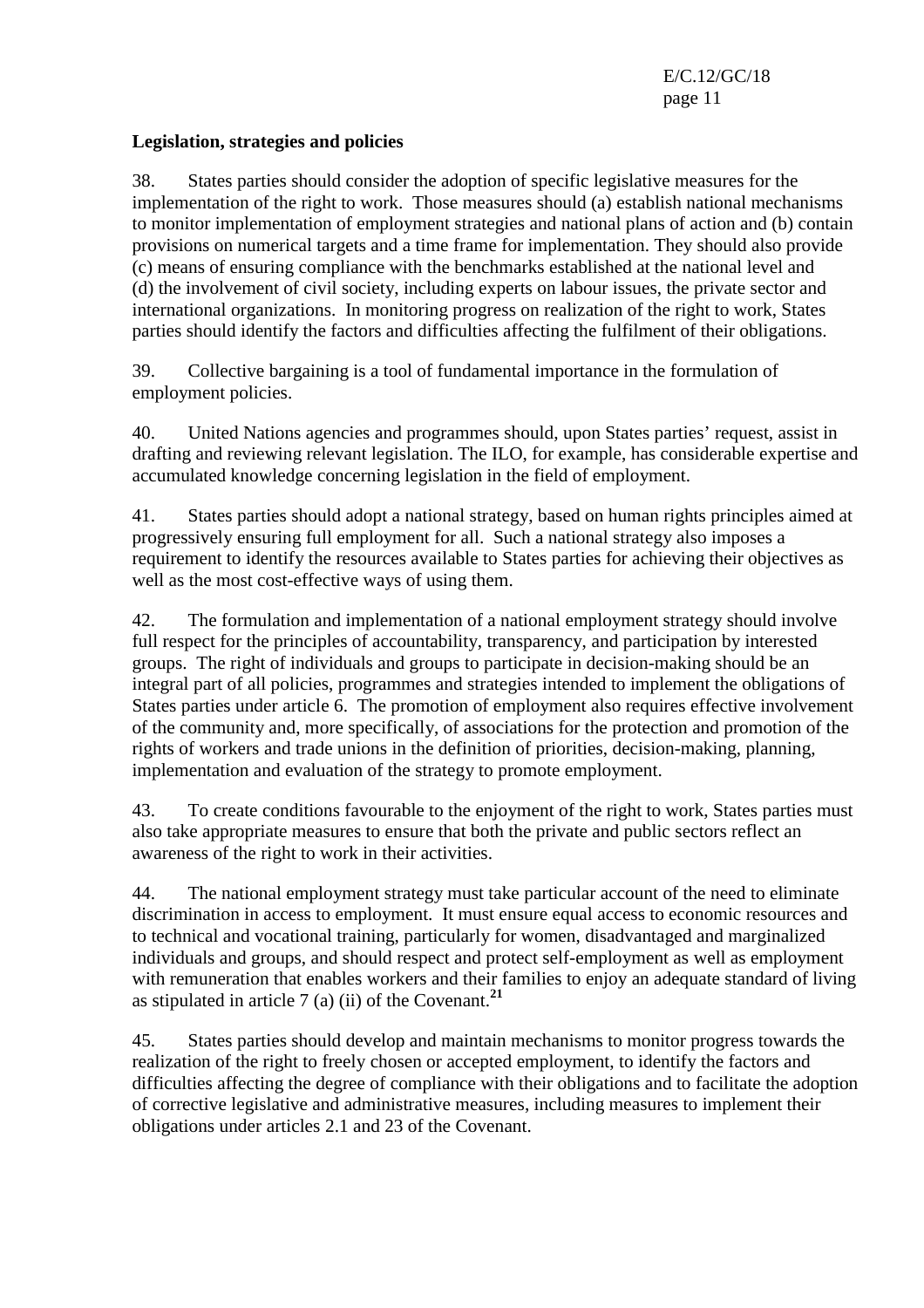## **Legislation, strategies and policies**

38. States parties should consider the adoption of specific legislative measures for the implementation of the right to work. Those measures should (a) establish national mechanisms to monitor implementation of employment strategies and national plans of action and (b) contain provisions on numerical targets and a time frame for implementation. They should also provide (c) means of ensuring compliance with the benchmarks established at the national level and (d) the involvement of civil society, including experts on labour issues, the private sector and international organizations. In monitoring progress on realization of the right to work, States parties should identify the factors and difficulties affecting the fulfilment of their obligations.

39. Collective bargaining is a tool of fundamental importance in the formulation of employment policies.

40. United Nations agencies and programmes should, upon States parties' request, assist in drafting and reviewing relevant legislation. The ILO, for example, has considerable expertise and accumulated knowledge concerning legislation in the field of employment.

41. States parties should adopt a national strategy, based on human rights principles aimed at progressively ensuring full employment for all. Such a national strategy also imposes a requirement to identify the resources available to States parties for achieving their objectives as well as the most cost-effective ways of using them.

42. The formulation and implementation of a national employment strategy should involve full respect for the principles of accountability, transparency, and participation by interested groups. The right of individuals and groups to participate in decision-making should be an integral part of all policies, programmes and strategies intended to implement the obligations of States parties under article 6. The promotion of employment also requires effective involvement of the community and, more specifically, of associations for the protection and promotion of the rights of workers and trade unions in the definition of priorities, decision-making, planning, implementation and evaluation of the strategy to promote employment.

43. To create conditions favourable to the enjoyment of the right to work, States parties must also take appropriate measures to ensure that both the private and public sectors reflect an awareness of the right to work in their activities.

44. The national employment strategy must take particular account of the need to eliminate discrimination in access to employment. It must ensure equal access to economic resources and to technical and vocational training, particularly for women, disadvantaged and marginalized individuals and groups, and should respect and protect self-employment as well as employment with remuneration that enables workers and their families to enjoy an adequate standard of living as stipulated in article 7 (a) (ii) of the Covenant.**<sup>21</sup>**

45. States parties should develop and maintain mechanisms to monitor progress towards the realization of the right to freely chosen or accepted employment, to identify the factors and difficulties affecting the degree of compliance with their obligations and to facilitate the adoption of corrective legislative and administrative measures, including measures to implement their obligations under articles 2.1 and 23 of the Covenant.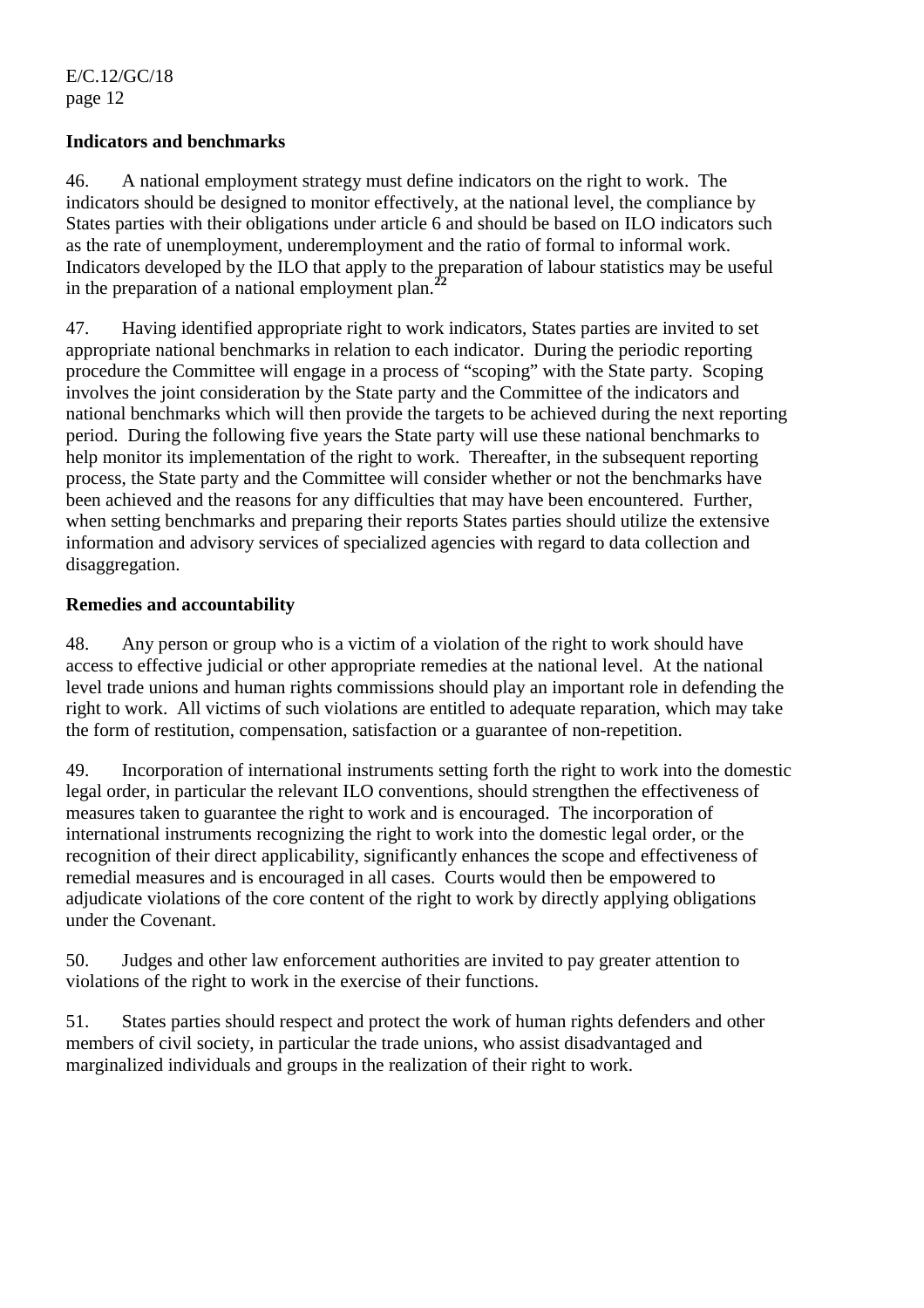## **Indicators and benchmarks**

46. A national employment strategy must define indicators on the right to work. The indicators should be designed to monitor effectively, at the national level, the compliance by States parties with their obligations under article 6 and should be based on ILO indicators such as the rate of unemployment, underemployment and the ratio of formal to informal work. Indicators developed by the ILO that apply to the preparation of labour statistics may be useful in the preparation of a national employment plan.**<sup>22</sup>**

47. Having identified appropriate right to work indicators, States parties are invited to set appropriate national benchmarks in relation to each indicator. During the periodic reporting procedure the Committee will engage in a process of "scoping" with the State party. Scoping involves the joint consideration by the State party and the Committee of the indicators and national benchmarks which will then provide the targets to be achieved during the next reporting period. During the following five years the State party will use these national benchmarks to help monitor its implementation of the right to work. Thereafter, in the subsequent reporting process, the State party and the Committee will consider whether or not the benchmarks have been achieved and the reasons for any difficulties that may have been encountered. Further, when setting benchmarks and preparing their reports States parties should utilize the extensive information and advisory services of specialized agencies with regard to data collection and disaggregation.

## **Remedies and accountability**

48. Any person or group who is a victim of a violation of the right to work should have access to effective judicial or other appropriate remedies at the national level. At the national level trade unions and human rights commissions should play an important role in defending the right to work. All victims of such violations are entitled to adequate reparation, which may take the form of restitution, compensation, satisfaction or a guarantee of non-repetition.

49. Incorporation of international instruments setting forth the right to work into the domestic legal order, in particular the relevant ILO conventions, should strengthen the effectiveness of measures taken to guarantee the right to work and is encouraged. The incorporation of international instruments recognizing the right to work into the domestic legal order, or the recognition of their direct applicability, significantly enhances the scope and effectiveness of remedial measures and is encouraged in all cases. Courts would then be empowered to adjudicate violations of the core content of the right to work by directly applying obligations under the Covenant.

50. Judges and other law enforcement authorities are invited to pay greater attention to violations of the right to work in the exercise of their functions.

51. States parties should respect and protect the work of human rights defenders and other members of civil society, in particular the trade unions, who assist disadvantaged and marginalized individuals and groups in the realization of their right to work.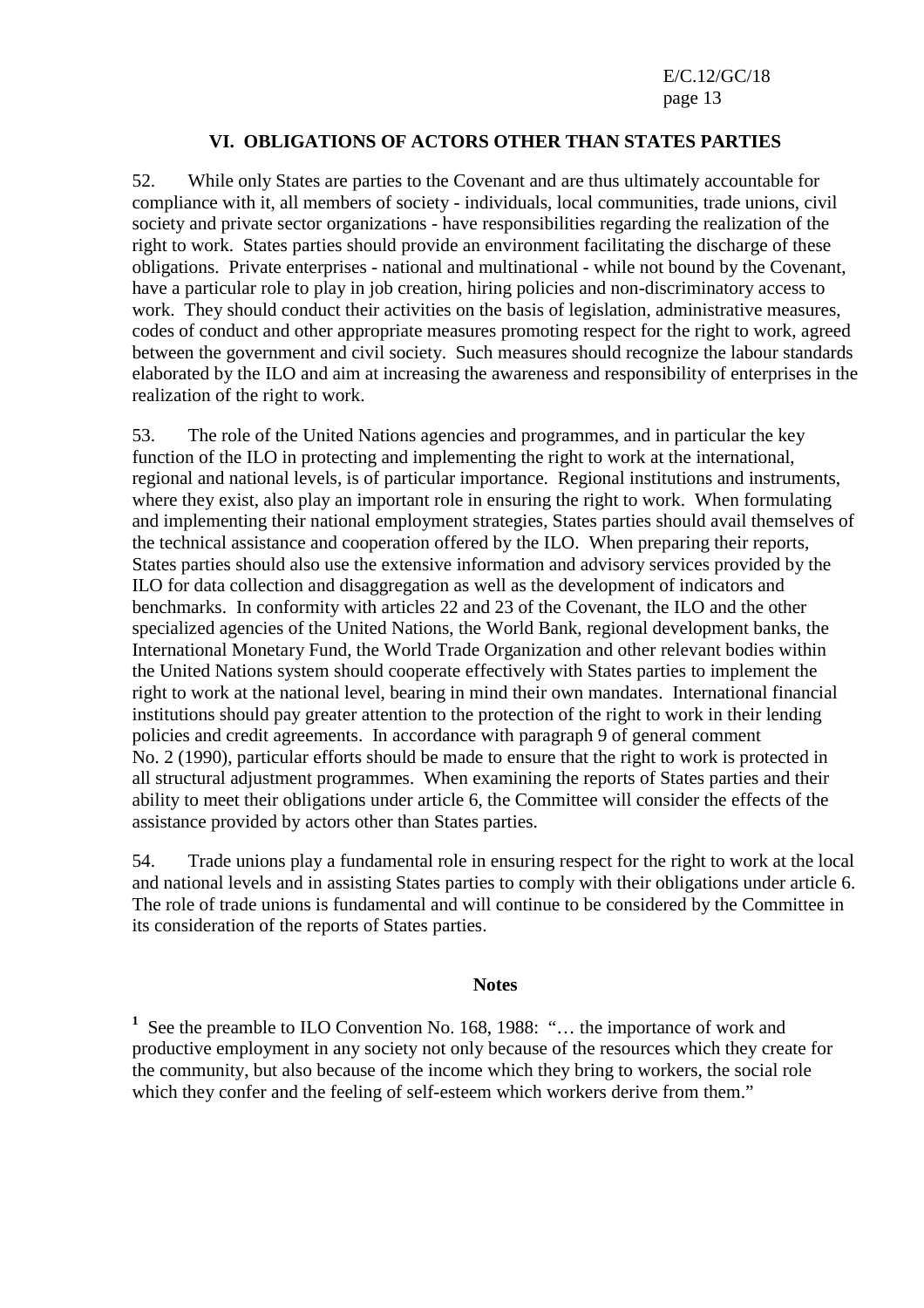E/C.12/GC/18 page 13

## **VI. OBLIGATIONS OF ACTORS OTHER THAN STATES PARTIES**

52. While only States are parties to the Covenant and are thus ultimately accountable for compliance with it, all members of society - individuals, local communities, trade unions, civil society and private sector organizations - have responsibilities regarding the realization of the right to work. States parties should provide an environment facilitating the discharge of these obligations. Private enterprises - national and multinational - while not bound by the Covenant, have a particular role to play in job creation, hiring policies and non-discriminatory access to work. They should conduct their activities on the basis of legislation, administrative measures, codes of conduct and other appropriate measures promoting respect for the right to work, agreed between the government and civil society. Such measures should recognize the labour standards elaborated by the ILO and aim at increasing the awareness and responsibility of enterprises in the realization of the right to work.

53. The role of the United Nations agencies and programmes, and in particular the key function of the ILO in protecting and implementing the right to work at the international. regional and national levels, is of particular importance. Regional institutions and instruments, where they exist, also play an important role in ensuring the right to work. When formulating and implementing their national employment strategies, States parties should avail themselves of the technical assistance and cooperation offered by the ILO. When preparing their reports, States parties should also use the extensive information and advisory services provided by the ILO for data collection and disaggregation as well as the development of indicators and benchmarks. In conformity with articles 22 and 23 of the Covenant, the ILO and the other specialized agencies of the United Nations, the World Bank, regional development banks, the International Monetary Fund, the World Trade Organization and other relevant bodies within the United Nations system should cooperate effectively with States parties to implement the right to work at the national level, bearing in mind their own mandates. International financial institutions should pay greater attention to the protection of the right to work in their lending policies and credit agreements. In accordance with paragraph 9 of general comment No. 2 (1990), particular efforts should be made to ensure that the right to work is protected in all structural adjustment programmes. When examining the reports of States parties and their ability to meet their obligations under article 6, the Committee will consider the effects of the assistance provided by actors other than States parties.

54. Trade unions play a fundamental role in ensuring respect for the right to work at the local and national levels and in assisting States parties to comply with their obligations under article 6. The role of trade unions is fundamental and will continue to be considered by the Committee in its consideration of the reports of States parties.

#### **Notes**

<sup>1</sup> See the preamble to ILO Convention No. 168, 1988: "... the importance of work and productive employment in any society not only because of the resources which they create for the community, but also because of the income which they bring to workers, the social role which they confer and the feeling of self-esteem which workers derive from them."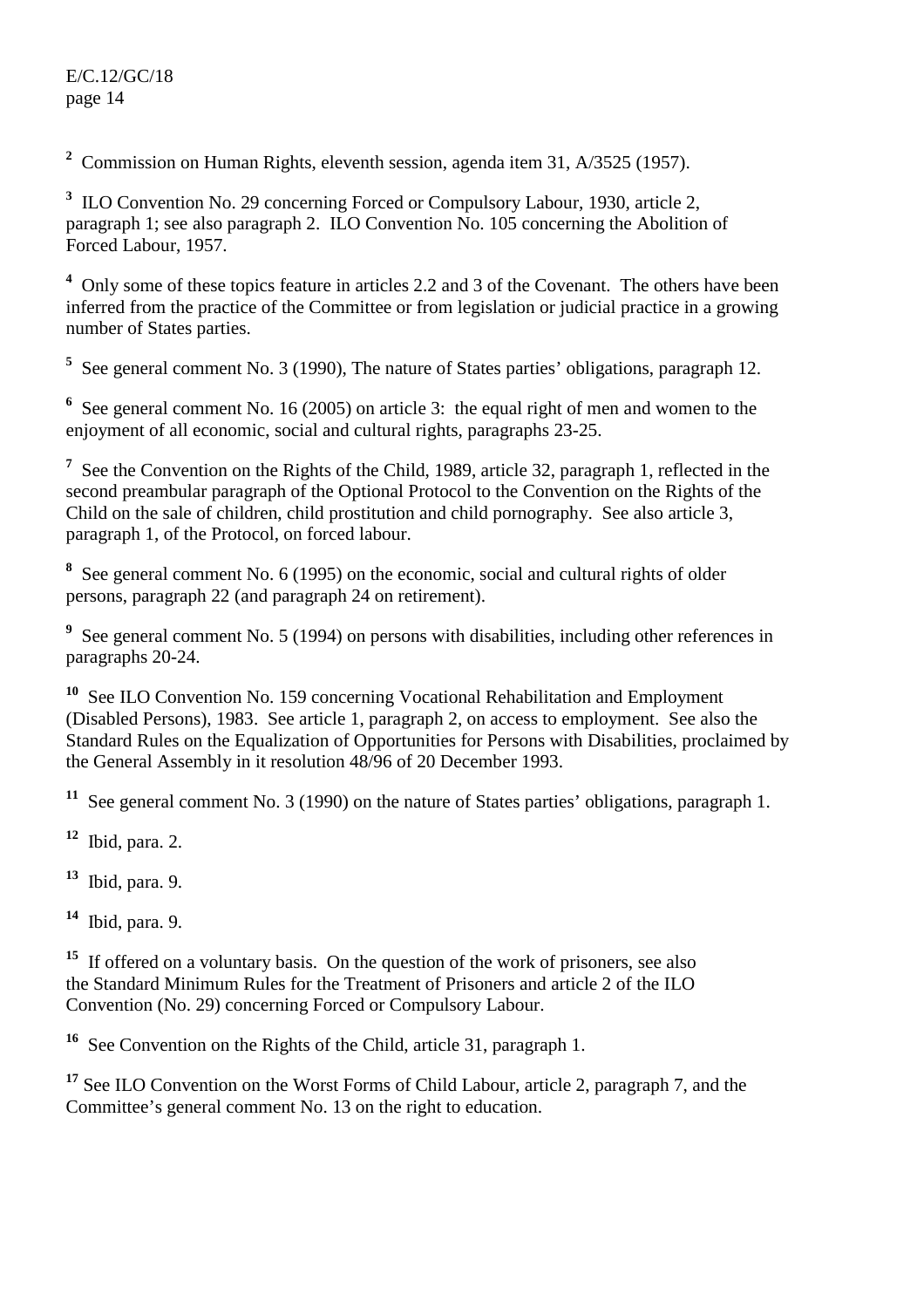<sup>2</sup> Commission on Human Rights, eleventh session, agenda item 31, A/3525 (1957).

**3** ILO Convention No. 29 concerning Forced or Compulsory Labour, 1930, article 2, paragraph 1; see also paragraph 2. ILO Convention No. 105 concerning the Abolition of Forced Labour, 1957.

<sup>4</sup> Only some of these topics feature in articles 2.2 and 3 of the Covenant. The others have been inferred from the practice of the Committee or from legislation or judicial practice in a growing number of States parties.

<sup>5</sup> See general comment No. 3 (1990), The nature of States parties' obligations, paragraph 12.

**6** See general comment No. 16 (2005) on article 3: the equal right of men and women to the enjoyment of all economic, social and cultural rights, paragraphs 23-25.

<sup>7</sup> See the Convention on the Rights of the Child, 1989, article 32, paragraph 1, reflected in the second preambular paragraph of the Optional Protocol to the Convention on the Rights of the Child on the sale of children, child prostitution and child pornography. See also article 3, paragraph 1, of the Protocol, on forced labour.

**8** See general comment No. 6 (1995) on the economic, social and cultural rights of older persons, paragraph 22 (and paragraph 24 on retirement).

<sup>9</sup> See general comment No. 5 (1994) on persons with disabilities, including other references in paragraphs 20-24.

**<sup>10</sup>** See ILO Convention No. 159 concerning Vocational Rehabilitation and Employment (Disabled Persons), 1983. See article 1, paragraph 2, on access to employment. See also the Standard Rules on the Equalization of Opportunities for Persons with Disabilities, proclaimed by the General Assembly in it resolution 48/96 of 20 December 1993.

**<sup>11</sup>** See general comment No. 3 (1990) on the nature of States parties' obligations, paragraph 1.

**<sup>12</sup>** Ibid, para. 2.

**<sup>13</sup>** Ibid, para. 9.

**<sup>14</sup>** Ibid, para. 9.

<sup>15</sup> If offered on a voluntary basis. On the question of the work of prisoners, see also the Standard Minimum Rules for the Treatment of Prisoners and article 2 of the ILO Convention (No. 29) concerning Forced or Compulsory Labour.

**<sup>16</sup>** See Convention on the Rights of the Child, article 31, paragraph 1.

**<sup>17</sup>** See ILO Convention on the Worst Forms of Child Labour, article 2, paragraph 7, and the Committee's general comment No. 13 on the right to education.